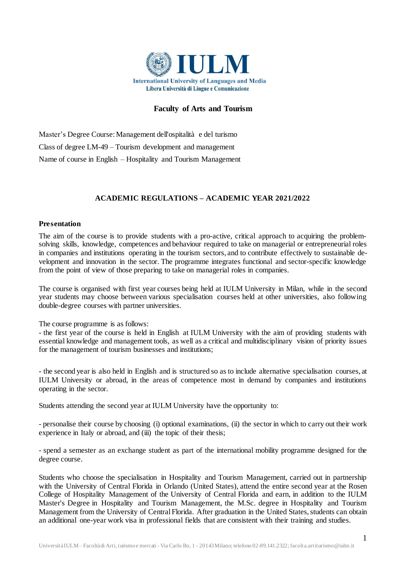

# **Faculty of Arts and Tourism**

Master's Degree Course:Management dell'ospitalità e del turismo Class of degree LM-49 – Tourism development and management Name of course in English – Hospitality and Tourism Management

# **ACADEMIC REGULATIONS – ACADEMIC YEAR 2021/2022**

### **Presentation**

The aim of the course is to provide students with a pro-active, critical approach to acquiring the problemsolving skills, knowledge, competences and behaviour required to take on managerial or entrepreneurial roles in companies and institutions operating in the tourism sectors, and to contribute effectively to sustainable development and innovation in the sector. The programme integrates functional and sector-specific knowledge from the point of view of those preparing to take on managerial roles in companies.

The course is organised with first year courses being held at IULM University in Milan, while in the second year students may choose between various specialisation courses held at other universities, also following double-degree courses with partner universities.

The course programme is as follows:

- the first year of the course is held in English at IULM University with the aim of providing students with essential knowledge and management tools, as well as a critical and multidisciplinary vision of priority issues for the management of tourism businesses and institutions;

- the second year is also held in English and is structured so as to include alternative specialisation courses, at IULM University or abroad, in the areas of competence most in demand by companies and institutions operating in the sector.

Students attending the second year at IULM University have the opportunity to:

- personalise their course by choosing (i) optional examinations, (ii) the sector in which to carry out their work experience in Italy or abroad, and (iii) the topic of their thesis;

- spend a semester as an exchange student as part of the international mobility programme designed for the degree course.

Students who choose the specialisation in Hospitality and Tourism Management, carried out in partnership with the University of Central Florida in Orlando (United States), attend the entire second year at the Rosen College of Hospitality Management of the University of Central Florida and earn, in addition to the IULM Master's Degree in Hospitality and Tourism Management, the M.Sc. degree in Hospitality and Tourism Management from the University of Central Florida. After graduation in the United States, students can obtain an additional one-year work visa in professional fields that are consistent with their training and studies.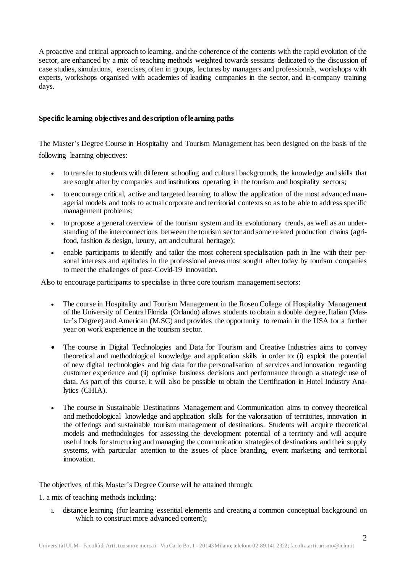A proactive and critical approach to learning, and the coherence of the contents with the rapid evolution of the sector, are enhanced by a mix of teaching methods weighted towards sessions dedicated to the discussion of case studies, simulations, exercises, often in groups, lectures by managers and professionals, workshops with experts, workshops organised with academies of leading companies in the sector, and in-company training days.

# **Specific learning objectives and description oflearning paths**

The Master's Degree Course in Hospitality and Tourism Management has been designed on the basis of the following learning objectives:

- to transferto students with different schooling and cultural backgrounds, the knowledge and skills that are sought after by companies and institutions operating in the tourism and hospitality sectors;
- to encourage critical, active and targeted learning to allow the application of the most advanced managerial models and tools to actual corporate and territorial contexts so as to be able to address specific management problems;
- to propose a general overview of the tourism system and its evolutionary trends, as well as an understanding of the interconnections between the tourism sector and some related production chains (agrifood, fashion & design, luxury, art and cultural heritage);
- enable participants to identify and tailor the most coherent specialisation path in line with their personal interests and aptitudes in the professional areas most sought after today by tourism companies to meet the challenges of post-Covid-19 innovation.

Also to encourage participants to specialise in three core tourism management sectors:

- The course in Hospitality and Tourism Management in the Rosen College of Hospitality Management of the University of Central Florida (Orlando) allows students to obtain a double degree, Italian (Master's Degree) and American (M.SC) and provides the opportunity to remain in the USA for a further year on work experience in the tourism sector.
- The course in Digital Technologies and Data for Tourism and Creative Industries aims to convey theoretical and methodological knowledge and application skills in order to: (i) exploit the potential of new digital technologies and big data for the personalisation of services and innovation regarding customer experience and (ii) optimise business decisions and performance through a strategic use of data. As part of this course, it will also be possible to obtain the Certification in Hotel Industry Analytics (CHIA).
- The course in Sustainable Destinations Management and Communication aims to convey theoretical and methodological knowledge and application skills for the valorisation of territories, innovation in the offerings and sustainable tourism management of destinations. Students will acquire theoretical models and methodologies for assessing the development potential of a territory and will acquire useful tools for structuring and managing the communication strategies of destinations and their supply systems, with particular attention to the issues of place branding, event marketing and territorial innovation.

The objectives of this Master's Degree Course will be attained through:

1. a mix of teaching methods including:

i. distance learning (for learning essential elements and creating a common conceptual background on which to construct more advanced content);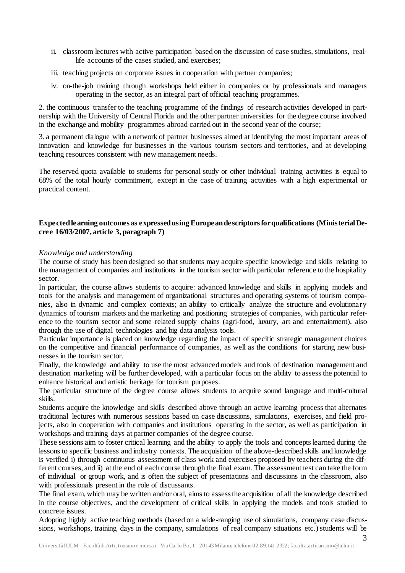- ii. classroom lectures with active participation based on the discussion of case studies, simulations, reallife accounts of the cases studied, and exercises;
- iii. teaching projects on corporate issues in cooperation with partner companies;
- iv. on-the-job training through workshops held either in companies or by professionals and managers operating in the sector, as an integral part of official teaching programmes.

2. the continuous transfer to the teaching programme of the findings of research activities developed in partnership with the University of Central Florida and the other partner universities for the degree course involved in the exchange and mobility programmes abroad carried out in the second year of the course;

3. a permanent dialogue with a network of partner businesses aimed at identifying the most important areas of innovation and knowledge for businesses in the various tourism sectors and territories, and at developing teaching resources consistent with new management needs.

The reserved quota available to students for personal study or other individual training activities is equal to 68% of the total hourly commitment, except in the case of training activities with a high experimental or practical content.

# **Expectedlearning outcomes as expressedusing Europeandescriptorsforqualifications (MinisterialDecree 16/03/2007, article 3, paragraph 7)**

## *Knowledge and understanding*

The course of study has been designed so that students may acquire specific knowledge and skills relating to the management of companies and institutions in the tourism sector with particular reference to the hospitality sector.

In particular, the course allows students to acquire: advanced knowledge and skills in applying models and tools for the analysis and management of organizational structures and operating systems of tourism companies, also in dynamic and complex contexts; an ability to critically analyze the structure and evolutionary dynamics of tourism markets and the marketing and positioning strategies of companies, with particular reference to the tourism sector and some related supply chains (agri-food, luxury, art and entertainment), also through the use of digital technologies and big data analysis tools.

Particular importance is placed on knowledge regarding the impact of specific strategic management choices on the competitive and financial performance of companies, as well as the conditions for starting new businesses in the tourism sector.

Finally, the knowledge and ability to use the most advanced models and tools of destination management and destination marketing will be further developed, with a particular focus on the ability to assess the potential to enhance historical and artistic heritage for tourism purposes.

The particular structure of the degree course allows students to acquire sound language and multi-cultural skills.

Students acquire the knowledge and skills described above through an active learning process that alternates traditional lectures with numerous sessions based on case discussions, simulations, exercises, and field projects, also in cooperation with companies and institutions operating in the sector, as well as participation in workshops and training days at partner companies of the degree course.

These sessions aim to foster critical learning and the ability to apply the tools and concepts learned during the lessons to specific business and industry contexts. The acquisition of the above-described skills and knowledge is verified i) through continuous assessment of class work and exercises proposed by teachers during the different courses, and ii) at the end of each course through the final exam. The assessment test can take the form of individual or group work, and is often the subject of presentations and discussions in the classroom, also with professionals present in the role of discussants.

The final exam, which may be written and/or oral, aims to assessthe acquisition of all the knowledge described in the course objectives, and the development of critical skills in applying the models and tools studied to concrete issues.

Adopting highly active teaching methods (based on a wide-ranging use of simulations, company case discussions, workshops, training days in the company, simulations of real company situations etc.) students will be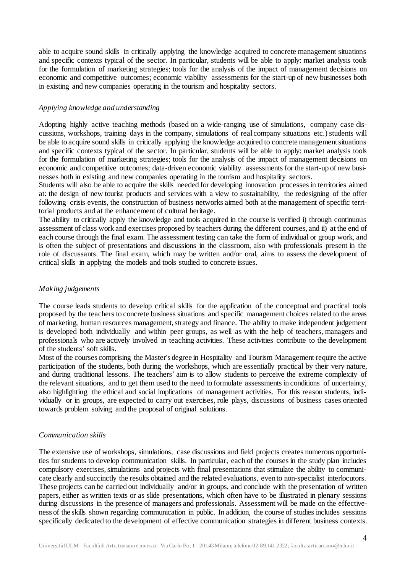able to acquire sound skills in critically applying the knowledge acquired to concrete management situations and specific contexts typical of the sector. In particular, students will be able to apply: market analysis tools for the formulation of marketing strategies; tools for the analysis of the impact of management decisions on economic and competitive outcomes; economic viability assessments for the start-up of new businesses both in existing and new companies operating in the tourism and hospitality sectors.

### *Applying knowledge and understanding*

Adopting highly active teaching methods (based on a wide-ranging use of simulations, company case discussions, workshops, training days in the company, simulations of real company situations etc.) students will be able to acquire sound skills in critically applying the knowledge acquired to concrete management situations and specific contexts typical of the sector. In particular, students will be able to apply: market analysis tools for the formulation of marketing strategies; tools for the analysis of the impact of management decisions on economic and competitive outcomes; data-driven economic viability assessments for the start-up of new businesses both in existing and new companies operating in the tourism and hospitality sectors.

Students will also be able to acquire the skills needed for developing innovation processes in territories aimed at: the design of new tourist products and services with a view to sustainability, the redesigning of the offer following crisis events, the construction of business networks aimed both at the management of specific territorial products and at the enhancement of cultural heritage.

The ability to critically apply the knowledge and tools acquired in the course is verified i) through continuous assessment of class work and exercises proposed by teachers during the different courses, and ii) at the end of each course through the final exam. The assessment testing can take the form of individual or group work, and is often the subject of presentations and discussions in the classroom, also with professionals present in the role of discussants. The final exam, which may be written and/or oral, aims to assess the development of critical skills in applying the models and tools studied to concrete issues.

### *Making judgements*

The course leads students to develop critical skills for the application of the conceptual and practical tools proposed by the teachers to concrete business situations and specific management choices related to the areas of marketing, human resources management, strategy and finance. The ability to make independent judgement is developed both individually and within peer groups, as well as with the help of teachers, managers and professionals who are actively involved in teaching activities. These activities contribute to the development of the students' soft skills.

Most of the courses comprising the Master's degree in Hospitality and Tourism Management require the active participation of the students, both during the workshops, which are essentially practical by their very nature, and during traditional lessons. The teachers' aim is to allow students to perceive the extreme complexity of the relevant situations, and to get them used to the need to formulate assessments in conditions of uncertainty, also highlighting the ethical and social implications of management activities. For this reason students, individually or in groups, are expected to carry out exercises, role plays, discussions of business cases oriented towards problem solving and the proposal of original solutions.

### *Communication skills*

The extensive use of workshops, simulations, case discussions and field projects creates numerous opportunities for students to develop communication skills. In particular, each of the courses in the study plan includes compulsory exercises,simulations and projects with final presentations that stimulate the ability to communicate clearly and succinctly the results obtained and the related evaluations, evento non-specialist interlocutors. These projects can be carried out individually and/or in groups, and conclude with the presentation of written papers, either as written texts or as slide presentations, which often have to be illustrated in plenary sessions during discussions in the presence of managers and professionals. Assessment will be made on the effectiveness of the skills shown regarding communication in public. In addition, the course of studies includes sessions specifically dedicated to the development of effective communication strategies in different business contexts.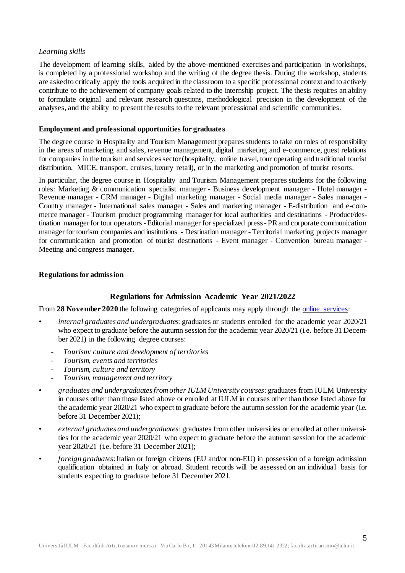## *Learning skills*

The development of learning skills, aided by the above-mentioned exercises and participation in workshops, is completed by a professional workshop and the writing of the degree thesis. During the workshop, students are askedto critically apply the tools acquired in the classroom to a specific professional context and to actively contribute to the achievement of company goals related to the internship project. The thesis requires an ability to formulate original and relevant research questions, methodological precision in the development of the analyses, and the ability to present the results to the relevant professional and scientific communities.

### **Employment and professional opportunities for graduates**

The degree course in Hospitality and Tourism Management prepares students to take on roles of responsibility in the areas of marketing and sales, revenue management, digital marketing and e-commerce, guest relations for companies in the tourism and servicessector(hospitality, online travel, tour operating and traditional tourist distribution, MICE, transport, cruises, luxury retail), or in the marketing and promotion of tourist resorts.

In particular, the degree course in Hospitality and Tourism Management prepares students for the following roles: Marketing & communication specialist manager - Business development manager - Hotel manager - Revenue manager - CRM manager - Digital marketing manager - Social media manager - Sales manager - Country manager - International sales manager - Sales and marketing manager - E-distribution and e-commerce manager - Tourism product programming manager for local authorities and destinations - Product/destination managerfor tour operators -Editorial manager for specialized press-PRand corporate communication manager for tourism companies and institutions - Destination manager - Territorial marketing projects manager for communication and promotion of tourist destinations - Event manager - Convention bureau manager - Meeting and congress manager.

## **Regulations for admission**

# **Regulations for Admission Academic Year 2021/2022**

From **28 November 2020** the following categories of applicants may apply through the [online services:](https://servizionline.iulm.it/Home.do)

- *internal graduates and undergraduates*:graduates or students enrolled for the academic year 2020/21 who expect to graduate before the autumn session for the academic year 2020/21 (i.e. before 31 December 2021) in the following degree courses:
	- *Tourism: culture and development of territories*
	- *Tourism, events and territories*
	- *Tourism, culture and territory*
	- *Tourism, management and territory*
- *graduates and undergraduates from other IULM University courses*: graduates from IULM University in courses other than those listed above or enrolled at IULM in courses other than those listed above for the academic year 2020/21 who expect to graduate before the autumn session for the academic year (i.e. before 31 December 2021);
- *external graduates and undergraduates*: graduates from other universities or enrolled at other universities for the academic year 2020/21 who expect to graduate before the autumn session for the academic year 2020/21 (i.e. before 31 December 2021);
- *foreign graduates*:Italian or foreign citizens (EU and/or non-EU) in possession of a foreign admission qualification obtained in Italy or abroad. Student records will be assessed on an individual basis for students expecting to graduate before 31 December 2021.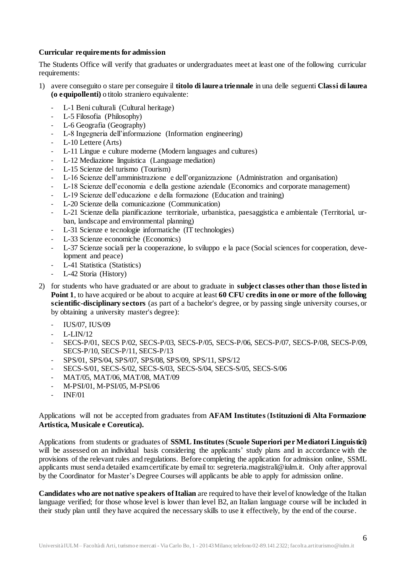## **Curricular requirements for admission**

The Students Office will verify that graduates or undergraduates meet at least one of the following curricular requirements:

- 1) avere conseguito o stare per conseguire il **titolo di laurea triennale** in una delle seguenti **Classi di laurea (o equipollenti)** o titolo straniero equivalente:
	- L-1 Beni culturali (Cultural heritage)
	- L-5 Filosofia (Philosophy)<br>- L-6 Geografia (Geography)
	- L-6 Geografia (Geography)
	- L-8 Ingegneria dell'informazione (Information engineering)
	- L-10 Lettere (Arts)
	- L-11 Lingue e culture moderne (Modern languages and cultures)
	- L-12 Mediazione linguistica (Language mediation)
	- L-15 Scienze del turismo (Tourism)
	- L-16 Scienze dell'amministrazione e dell'organizzazione (Administration and organisation)
	- L-18 Scienze dell'economia e della gestione aziendale (Economics and corporate management)
	- L-19 Scienze dell'educazione e della formazione (Education and training)
	- L-20 Scienze della comunicazione (Communication)
	- L-21 Scienze della pianificazione territoriale, urbanistica, paesaggistica e ambientale (Territorial, urban, landscape and environmental planning)
	- L-31 Scienze e tecnologie informatiche (IT technologies)
	- L-33 Scienze economiche (Economics)
	- L-37 Scienze sociali per la cooperazione, lo sviluppo e la pace (Social sciences for cooperation, development and peace)
	- L-41 Statistica (Statistics)
	- L-42 Storia (History)
- 2) for students who have graduated or are about to graduate in **subject classes other than those listed in Point 1**, to have acquired or be about to acquire at least **60 CFU credits in one or more ofthe following scientific-disciplinary sectors** (as part of a bachelor's degree, or by passing single university courses, or by obtaining a university master's degree):
	- IUS/07, IUS/09
	- $L-LIN/12$
	- SECS-P/01, SECS P/02, SECS-P/03, SECS-P/05, SECS-P/06, SECS-P/07, SECS-P/08, SECS-P/09, SECS-P/10, SECS-P/11, SECS-P/13
	- SPS/01, SPS/04, SPS/07, SPS/08, SPS/09, SPS/11, SPS/12
	- SECS-S/01, SECS-S/02, SECS-S/03, SECS-S/04, SECS-S/05, SECS-S/06
	- MAT/05, MAT/06, MAT/08, MAT/09
	- M-PSI/01, M-PSI/05, M-PSI/06
	- INF/01

## Applications will not be accepted from graduates from **AFAM Institutes** (**Istituzioni di Alta Formazione Artistica, Musicale e Coreutica).**

Applications from students or graduates of **SSML Institutes** (**Scuole Superiori per Mediatori Linguistici)** will be assessed on an individual basis considering the applicants' study plans and in accordance with the provisions of the relevant rules and regulations. Before completing the application for admission online, SSML applicants must senda detailed examcertificate by email to: segreteria.magistrali@iulm.it. Only after approval by the Coordinator for Master's Degree Courses will applicants be able to apply for admission online.

**Candidates who are not native speakers of Italian** are required to have their level of knowledge of the Italian language verified; for those whose level is lower than level B2, an Italian language course will be included in their study plan until they have acquired the necessary skills to use it effectively, by the end of the course.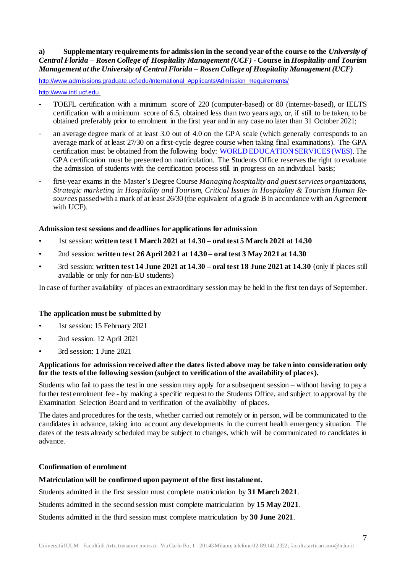# **a) Supplementary requirements for admission in the second year ofthe course to the** *University of Central Florida – Rosen College of Hospitality Management (UCF)* **- Course in** *Hospitality and Tourism Management at the University of Central Florida – Rosen College of Hospitality Management (UCF)*

[http://www.admissions.graduate.ucf.edu/International\\_Applicants/Admission\\_Requirements/](http://www.admissions.graduate.ucf.edu/International_Applicants/Admission_Requirements/)

#### [http://www.intl.ucf.edu.](http://www.intl.ucf.edu/)

- TOEFL certification with a minimum score of 220 (computer-based) or 80 (internet-based), or IELTS certification with a minimum score of 6.5, obtained less than two years ago, or, if still to be taken, to be obtained preferably prior to enrolment in the first year and in any case no later than 31 October 2021;
- an average degree mark of at least 3.0 out of 4.0 on the GPA scale (which generally corresponds to an average mark of at least 27/30 on a first-cycle degree course when taking final examinations). The GPA certification must be obtained from the following body: [WORLD EDUCATION SERVICES](https://www.wes.org/)(WES). The GPA certification must be presented on matriculation. The Students Office reserves the right to evaluate the admission of students with the certification process still in progress on an individual basis;
- first-year exams in the Master's Degree Course *Managing hospitality and guestservices organizations, Strategic marketing in Hospitality and Tourism, Critical Issues in Hospitality & Tourism Human Resources* passedwith a mark of at least 26/30 (the equivalent of a grade B in accordance with an Agreement with UCF).

## **Admission test sessions and deadlines for applications for admission**

- 1st session: **written test 1 March 2021 at 14.30 – oral test 5 March 2021 at 14.30**
- 2nd session: **written test 26 April 2021 at 14.30 – oral test 3 May 2021 at 14.30**
- 3rd session: **written test 14 June 2021 at 14.30 – oral test 18 June 2021 at 14.30** (only if places still available or only for non-EU students)

In case of further availability of places an extraordinary session may be held in the first ten days of September.

# **The application must be submitted by**

- 1st session: 15 February 2021
- 2nd session: 12 April 2021
- 3rd session: 1 June 2021

### **Applications for admission received after the dates listed above may be taken into consideration only for the tests ofthe following session (subject to verification ofthe availability of places).**

Students who fail to pass the test in one session may apply for a subsequent session – without having to pay a further test enrolment fee - by making a specific request to the Students Office, and subject to approval by the Examination Selection Board and to verification of the availability of places.

The dates and procedures for the tests, whether carried out remotely or in person, will be communicated to the candidates in advance, taking into account any developments in the current health emergency situation. The dates of the tests already scheduled may be subject to changes, which will be communicated to candidates in advance.

### **Confirmation of enrolment**

# **Matriculation will be confirmed upon payment ofthe first instalment.**

Students admitted in the first session must complete matriculation by **31 March 2021**.

Students admitted in the second session must complete matriculation by **15 May 2021**.

Students admitted in the third session must complete matriculation by **30 June 2021**.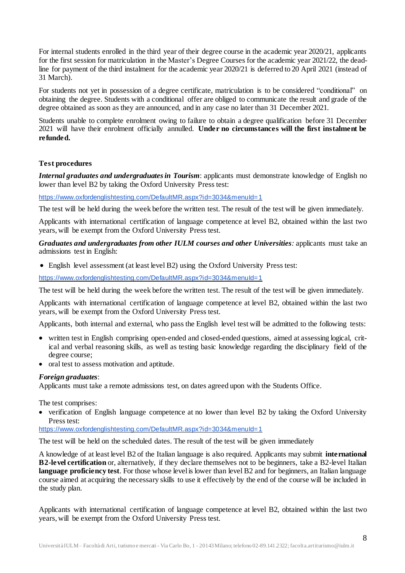For internal students enrolled in the third year of their degree course in the academic year 2020/21, applicants for the first session for matriculation in the Master's Degree Courses for the academic year 2021/22, the deadline for payment of the third instalment for the academic year 2020/21 is deferred to 20 April 2021 (instead of 31 March).

For students not yet in possession of a degree certificate, matriculation is to be considered "conditional" on obtaining the degree. Students with a conditional offer are obliged to communicate the result and grade of the degree obtained as soon as they are announced, and in any case no later than 31 December 2021.

Students unable to complete enrolment owing to failure to obtain a degree qualification before 31 December 2021 will have their enrolment officially annulled. **Under no circumstances will the first instalment be refunded.**

## **Test procedures**

*Internal graduates and undergraduatesin Tourism*: applicants must demonstrate knowledge of English no lower than level B2 by taking the Oxford University Press test:

<https://www.oxfordenglishtesting.com/DefaultMR.aspx?id=3034&menuId=1>

The test will be held during the week before the written test. The result of the test will be given immediately.

Applicants with international certification of language competence at level B2, obtained within the last two years, will be exempt from the Oxford University Press test.

*Graduates and undergraduates from other IULM courses and other Universities:* applicants must take an admissions test in English:

English level assessment (at least level B2) using the Oxford University Press test:

<https://www.oxfordenglishtesting.com/DefaultMR.aspx?id=3034&menuId=1>

The test will be held during the week before the written test. The result of the test will be given immediately.

Applicants with international certification of language competence at level B2, obtained within the last two years, will be exempt from the Oxford University Press test.

Applicants, both internal and external, who pass the English level test will be admitted to the following tests:

- written test in English comprising open-ended and closed-ended questions, aimed at assessing logical, critical and verbal reasoning skills, as well as testing basic knowledge regarding the disciplinary field of the degree course;
- oral test to assess motivation and aptitude.

### *Foreign graduates*:

Applicants must take a remote admissions test, on dates agreed upon with the Students Office.

The test comprises:

 verification of English language competence at no lower than level B2 by taking the Oxford University Press test:

<https://www.oxfordenglishtesting.com/DefaultMR.aspx?id=3034&menuId=1>

The test will be held on the scheduled dates. The result of the test will be given immediately

A knowledge of at least level B2 of the Italian language is also required. Applicants may submit **international B2-level certification** or, alternatively, if they declare themselves not to be beginners, take a B2-level Italian language proficiency test. For those whose level is lower than level B2 and for beginners, an Italian language course aimed at acquiring the necessary skills to use it effectively by the end of the course will be included in the study plan.

Applicants with international certification of language competence at level B2, obtained within the last two years, will be exempt from the Oxford University Press test.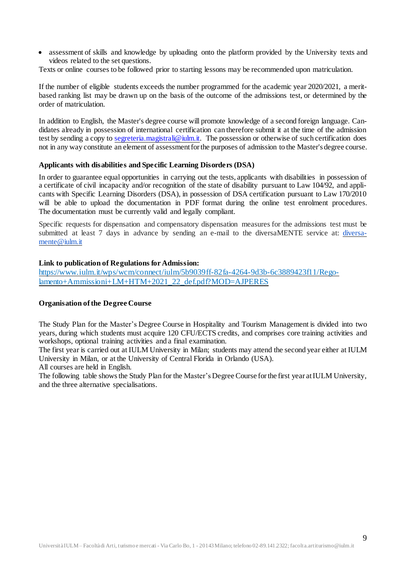assessment of skills and knowledge by uploading onto the platform provided by the University texts and videos related to the set questions.

Texts or online courses to be followed prior to starting lessons may be recommended upon matriculation.

If the number of eligible students exceeds the number programmed for the academic year 2020/2021, a meritbased ranking list may be drawn up on the basis of the outcome of the admissions test, or determined by the order of matriculation.

In addition to English, the Master's degree course will promote knowledge of a second foreign language. Candidates already in possession of international certification can therefore submit it at the time of the admission test by sending a copy to [segreteria.magistrali@iulm.it.](mailto:segreteria.magistrali@iulm.it) The possession or otherwise of such certification does not in any way constitute an element of assessment for the purposes of admission to the Master's degree course.

### **Applicants with disabilities and Specific Learning Disorders (DSA)**

In order to guarantee equal opportunities in carrying out the tests, applicants with disabilities in possession of a certificate of civil incapacity and/or recognition of the state of disability pursuant to Law 104/92, and applicants with Specific Learning Disorders (DSA), in possession of DSA certification pursuant to Law 170/2010 will be able to upload the documentation in PDF format during the online test enrolment procedures. The documentation must be currently valid and legally compliant.

Specific requests for dispensation and compensatory dispensation measures for the admissions test must be submitted at least 7 days in advance by sending an e-mail to the diversaMENTE service at: [diversa](mailto:diversamente@iulm.it)[mente@iulm.it](mailto:diversamente@iulm.it)

## **Link to publication of Regulations for Admission:**

[https://www.iulm.it/wps/wcm/connect/iulm/5b9039ff-82fa-4264-9d3b-6c3889423f11/Rego](https://www.iulm.it/wps/wcm/connect/iulm/5b9039ff-82fa-4264-9d3b-6c3889423f11/Regolamento+Ammissioni+LM+HTM+2021_22_def.pdf?MOD=AJPERES)[lamento+Ammissioni+LM+HTM+2021\\_22\\_def.pdf?MOD=AJPERES](https://www.iulm.it/wps/wcm/connect/iulm/5b9039ff-82fa-4264-9d3b-6c3889423f11/Regolamento+Ammissioni+LM+HTM+2021_22_def.pdf?MOD=AJPERES)

### **Organisation ofthe Degree Course**

The Study Plan for the Master's Degree Course in Hospitality and Tourism Management is divided into two years, during which students must acquire 120 CFU/ECTS credits, and comprises core training activities and workshops, optional training activities and a final examination.

The first year is carried out at IULM University in Milan; students may attend the second year either at IULM University in Milan, or at the University of Central Florida in Orlando (USA).

All courses are held in English.

The following table shows the Study Plan for the Master's Degree Course for the first year at IULM University, and the three alternative specialisations.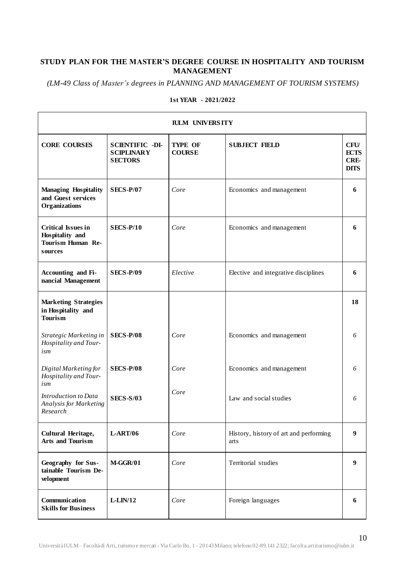# **STUDY PLAN FOR THE MASTER'S DEGREE COURSE IN HOSPITALITY AND TOURISM MANAGEMENT**

*(LM-49 Class of Master's degrees in PLANNING AND MANAGEMENT OF TOURISM SYSTEMS)*

| <b>IULM UNIVERSITY</b>                                                              |                                                               |                                 |                                                |                                                         |
|-------------------------------------------------------------------------------------|---------------------------------------------------------------|---------------------------------|------------------------------------------------|---------------------------------------------------------|
| <b>CORE COURSES</b>                                                                 | <b>SCIENTIFIC -DI-</b><br><b>SCIPLINARY</b><br><b>SECTORS</b> | <b>TYPE OF</b><br><b>COURSE</b> | <b>SUBJECT FIELD</b>                           | <b>CFU</b><br><b>ECTS</b><br><b>CRE-</b><br><b>DITS</b> |
| <b>Managing Hospitality</b><br>and Guest services<br>Organizations                  | <b>SECS-P/07</b>                                              | Core                            | Economics and management                       | 6                                                       |
| <b>Critical Issues in</b><br>Hospitality and<br><b>Tourism Human Re-</b><br>sources | <b>SECS-P/10</b>                                              | Core                            | Economics and management                       | 6                                                       |
| Accounting and Fi-<br>nancial Management                                            | <b>SECS-P/09</b>                                              | Elective                        | Elective and integrative disciplines           | 6                                                       |
| <b>Marketing Strategies</b><br>in Hospitality and<br><b>Tourism</b>                 |                                                               |                                 |                                                | 18                                                      |
| Strategic Marketing in<br>Hospitality and Tour-<br>ism                              | <b>SECS-P/08</b>                                              | Core                            | Economics and management                       | 6                                                       |
| Digital Marketing for<br>Hospitality and Tour-<br>ism                               | <b>SECS-P/08</b>                                              | Core                            | Economics and management                       | 6                                                       |
| Introduction to Data<br>Analysis for Marketing<br>Research                          | <b>SECS-S/03</b>                                              | Core                            | Law and social studies                         | 6                                                       |
| Cultural Heritage,<br><b>Arts and Tourism</b>                                       | <b>L-ART/06</b>                                               | Core                            | History, history of art and performing<br>arts | 9                                                       |
| Geography for Sus-<br>tainable Tourism De-<br>velopment                             | <b>M-GGR/01</b>                                               | Core                            | Territorial studies                            | 9                                                       |
| Communication<br><b>Skills for Business</b>                                         | $L-LIN/12$                                                    | Core                            | Foreign languages                              | 6                                                       |

#### **1st YEAR - 2021/2022**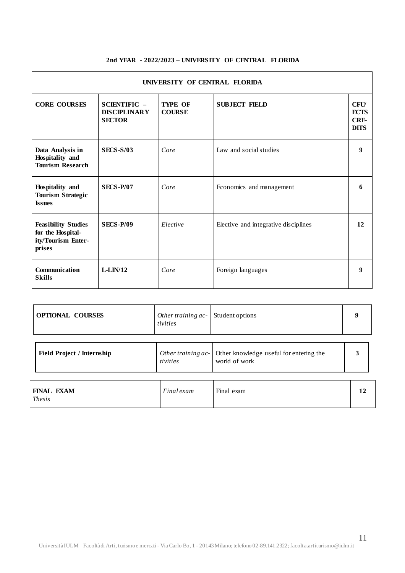#### **2nd YEAR - 2022/2023 – UNIVERSITY OF CENTRAL FLORIDA**

| <b>UNIVERSITY OF CENTRAL FLORIDA</b>                                            |                                                             |                                 |                                      |                                                         |
|---------------------------------------------------------------------------------|-------------------------------------------------------------|---------------------------------|--------------------------------------|---------------------------------------------------------|
| <b>CORE COURSES</b>                                                             | <b>SCIENTIFIC</b> –<br><b>DISCIPLINARY</b><br><b>SECTOR</b> | <b>TYPE OF</b><br><b>COURSE</b> | <b>SUBJECT FIELD</b>                 | <b>CFU</b><br><b>ECTS</b><br><b>CRE-</b><br><b>DITS</b> |
| Data Analysis in<br>Hospitality and<br><b>Tourism Research</b>                  | <b>SECS-S/03</b>                                            | Core                            | Law and social studies               | 9                                                       |
| Hospitality and<br><b>Tourism Strategic</b><br><b>Issues</b>                    | <b>SECS-P/07</b>                                            | Core                            | Economics and management             | 6                                                       |
| <b>Feasibility Studies</b><br>for the Hospital-<br>ity/Tourism Enter-<br>prises | <b>SECS-P/09</b>                                            | Elective                        | Elective and integrative disciplines | 12                                                      |
| Communication<br><b>Skills</b>                                                  | $L-LIN/12$                                                  | Core                            | Foreign languages                    | 9                                                       |

| <b>OPTIONAL COURSES</b> | <i>Other training ac</i> $\vert$ Student options<br>tivities |  |  |
|-------------------------|--------------------------------------------------------------|--|--|
|-------------------------|--------------------------------------------------------------|--|--|

| <b>Field Project / Internship</b>  | Other training $ac$ -<br>tivities | Other knowledge useful for entering the<br>world of work |  |
|------------------------------------|-----------------------------------|----------------------------------------------------------|--|
| <b>FINAL EXAM</b><br><i>Thesis</i> | Final exam                        | Final exam                                               |  |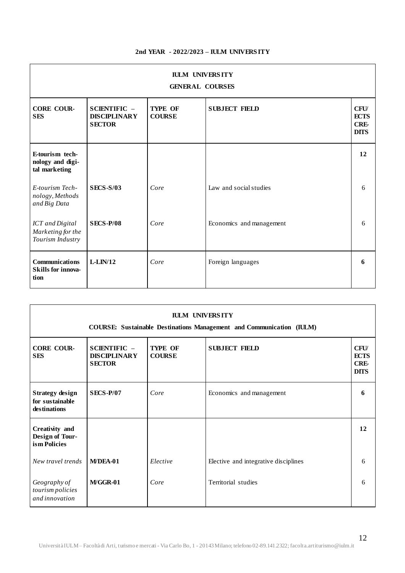### **2nd YEAR - 2022/2023 – IULM UNIVERS ITY**

| <b>IULM UNIVERSITY</b><br><b>GENERAL COURSES</b>         |                                                             |                                 |                          |                                                         |
|----------------------------------------------------------|-------------------------------------------------------------|---------------------------------|--------------------------|---------------------------------------------------------|
| <b>CORE COUR-</b><br><b>SES</b>                          | <b>SCIENTIFIC -</b><br><b>DISCIPLINARY</b><br><b>SECTOR</b> | <b>TYPE OF</b><br><b>COURSE</b> | <b>SUBJECT FIELD</b>     | <b>CFU</b><br><b>ECTS</b><br><b>CRE-</b><br><b>DITS</b> |
| E-tourism tech-<br>nology and digi-<br>tal marketing     |                                                             |                                 |                          | 12                                                      |
| E-tourism Tech-<br>nology, Methods<br>and Big Data       | <b>SECS-S/03</b>                                            | Core                            | Law and social studies   | 6                                                       |
| ICT and Digital<br>Marketing for the<br>Tourism Industry | <b>SECS-P/08</b>                                            | Core                            | Economics and management | 6                                                       |
| Communications<br><b>Skills for innova-</b><br>tion      | $L-LIN/12$                                                  | Core                            | Foreign languages        | 6                                                       |

| <b>IULM UNIVERSITY</b><br><b>COURSE:</b> Sustainable Destinations Management and Communication (IULM) |                                                             |                                 |                                      |                                                         |
|-------------------------------------------------------------------------------------------------------|-------------------------------------------------------------|---------------------------------|--------------------------------------|---------------------------------------------------------|
| <b>CORE COUR-</b><br><b>SES</b>                                                                       | <b>SCIENTIFIC -</b><br><b>DISCIPLINARY</b><br><b>SECTOR</b> | <b>TYPE OF</b><br><b>COURSE</b> | <b>SUBJECT FIELD</b>                 | <b>CFU</b><br><b>ECTS</b><br><b>CRE-</b><br><b>DITS</b> |
| <b>Strategy design</b><br>for sustainable<br>destinations                                             | <b>SECS-P/07</b>                                            | Core                            | Economics and management             | 6                                                       |
| Creativity and<br>Design of Tour-<br>ism Policies                                                     |                                                             |                                 |                                      | 12                                                      |
| New travel trends                                                                                     | M/DEA-01                                                    | Elective                        | Elective and integrative disciplines | 6                                                       |
| Geography of<br>tourism policies<br>and innovation                                                    | M/GGR-01                                                    | Core                            | Territorial studies                  | 6                                                       |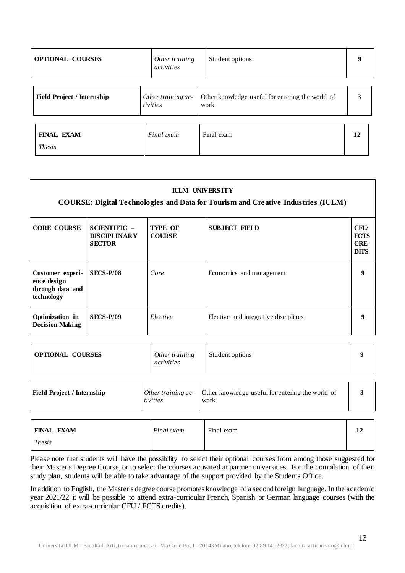| <b>OPTIONAL COURSES</b>            | Other training<br>activities   | Student options                                          | 9  |
|------------------------------------|--------------------------------|----------------------------------------------------------|----|
| <b>Field Project / Internship</b>  | Other training ac-<br>tivities | Other knowledge useful for entering the world of<br>work | 3  |
| <b>FINAL EXAM</b><br><i>Thesis</i> | Final exam                     | Final exam                                               | 12 |

| <b>IULM UNIVERSITY</b><br><b>COURSE: Digital Technologies and Data for Tourism and Creative Industries (IULM)</b> |                                                        |                                 |                                      |                                                  |
|-------------------------------------------------------------------------------------------------------------------|--------------------------------------------------------|---------------------------------|--------------------------------------|--------------------------------------------------|
| <b>CORE COURSE</b>                                                                                                | $SCIENTIFIC -$<br><b>DISCIPLINARY</b><br><b>SECTOR</b> | <b>TYPE OF</b><br><b>COURSE</b> | <b>SUBJECT FIELD</b>                 | <b>CFU</b><br><b>ECTS</b><br>CRE-<br><b>DITS</b> |
| Customer experi-<br>ence design<br>through data and<br>technology                                                 | SECS-P/08                                              | Core                            | Economics and management             | 9                                                |
| Optimization in<br><b>Decision Making</b>                                                                         | <b>SECS-P/09</b>                                       | Elective                        | Elective and integrative disciplines | 9                                                |

| <b>OPTIONAL COURSES</b>           | Other training<br>activities   | Student options                                          | Q |
|-----------------------------------|--------------------------------|----------------------------------------------------------|---|
| <b>Field Project / Internship</b> | Other training ac-<br>tivities | Other knowledge useful for entering the world of<br>work |   |

| <b>FINAL EXAM</b> | Final exam | Final exam | 1.0 |
|-------------------|------------|------------|-----|
| <b>Thesis</b>     |            |            |     |

Please note that students will have the possibility to select their optional courses from among those suggested for their Master's Degree Course, or to select the courses activated at partner universities. For the compilation of their study plan, students will be able to take advantage of the support provided by the Students Office.

In addition to English, the Master's degree course promotes knowledge of a second foreign language. In the academic year 2021/22 it will be possible to attend extra-curricular French, Spanish or German language courses (with the acquisition of extra-curricular CFU / ECTS credits).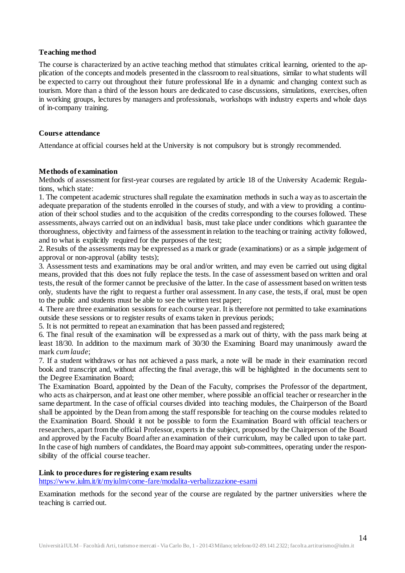### **Teaching method**

The course is characterized by an active teaching method that stimulates critical learning, oriented to the application of the concepts and models presented in the classroom to real situations, similar to what students will be expected to carry out throughout their future professional life in a dynamic and changing context such as tourism. More than a third of the lesson hours are dedicated to case discussions, simulations, exercises, often in working groups, lectures by managers and professionals, workshops with industry experts and whole days of in-company training.

#### **Course attendance**

Attendance at official courses held at the University is not compulsory but is strongly recommended.

#### **Methods of examination**

Methods of assessment for first-year courses are regulated by article 18 of the University Academic Regulations, which state:

1. The competent academic structures shall regulate the examination methods in such a way as to ascertain the adequate preparation of the students enrolled in the courses of study, and with a view to providing a continuation of their school studies and to the acquisition of the credits corresponding to the courses followed. These assessments, always carried out on an individual basis, must take place under conditions which guarantee the thoroughness, objectivity and fairness of the assessmentin relation to the teaching or training activity followed, and to what is explicitly required for the purposes of the test;

2. Results of the assessments may be expressed as a mark or grade (examinations) or as a simple judgement of approval or non-approval (ability tests);

3. Assessment tests and examinations may be oral and/or written, and may even be carried out using digital means, provided that this does not fully replace the tests. In the case of assessment based on written and oral tests, the result of the former cannot be preclusive of the latter. In the case of assessment based on written tests only, students have the right to request a further oral assessment. In any case, the tests, if oral, must be open to the public and students must be able to see the written test paper;

4. There are three examination sessions for each course year. It is therefore not permitted to take examinations outside these sessions or to register results of exams taken in previous periods;

5. It is not permitted to repeat an examination that has been passed and registered;

6. The final result of the examination will be expressed as a mark out of thirty, with the pass mark being at least 18/30. In addition to the maximum mark of 30/30 the Examining Board may unanimously award the mark *cum laude*;

7. If a student withdraws or has not achieved a pass mark, a note will be made in their examination record book and transcript and, without affecting the final average, this will be highlighted in the documents sent to the Degree Examination Board;

The Examination Board, appointed by the Dean of the Faculty, comprises the Professor of the department, who acts as chairperson, and at least one other member, where possible an official teacher or researcher in the same department. In the case of official courses divided into teaching modules, the Chairperson of the Board shall be appointed by the Dean from among the staff responsible for teaching on the course modules related to the Examination Board. Should it not be possible to form the Examination Board with official teachers or researchers, apart from the official Professor, experts in the subject, proposed by the Chairperson of the Board and approved by the Faculty Board after an examination of their curriculum, may be called upon to take part. In the case of high numbers of candidates, the Board may appoint sub-committees, operating under the responsibility of the official course teacher.

### **Link to procedures for registering exam results**

<https://www.iulm.it/it/myiulm/come-fare/modalita-verbalizzazione-esami>

Examination methods for the second year of the course are regulated by the partner universities where the teaching is carried out.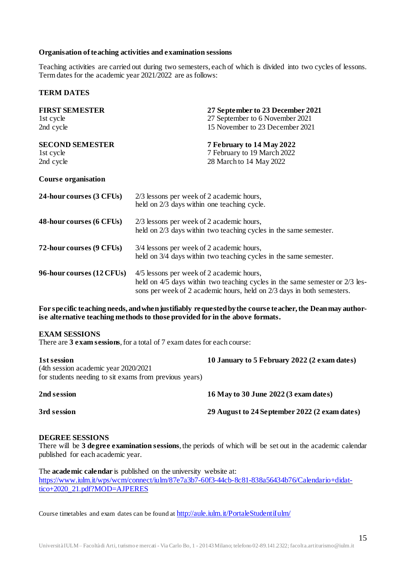#### **Organisation ofteaching activities and examination sessions**

Teaching activities are carried out during two semesters, each of which is divided into two cycles of lessons. Term dates for the academic year 2021/2022 are as follows:

#### **TERM DATES**

| <b>FIRST SEMESTER</b><br>1st cycle               | 27 September to 23 December 2021<br>27 September to 6 November 2021                                                                                                                                 |  |  |
|--------------------------------------------------|-----------------------------------------------------------------------------------------------------------------------------------------------------------------------------------------------------|--|--|
| 2nd cycle                                        | 15 November to 23 December 2021                                                                                                                                                                     |  |  |
| <b>SECOND SEMESTER</b><br>1st cycle<br>2nd cycle | 7 February to 14 May 2022<br>7 February to 19 March 2022<br>28 March to 14 May 2022                                                                                                                 |  |  |
| <b>Course organisation</b>                       |                                                                                                                                                                                                     |  |  |
| 24-hour courses (3 CFUs)                         | 2/3 lessons per week of 2 academic hours,<br>held on 2/3 days within one teaching cycle.                                                                                                            |  |  |
| 48-hour courses (6 CFUs)                         | 2/3 lessons per week of 2 academic hours,<br>held on 2/3 days within two teaching cycles in the same semester.                                                                                      |  |  |
| 72-hour courses (9 CFUs)                         | 3/4 lessons per week of 2 academic hours,<br>held on 3/4 days within two teaching cycles in the same semester.                                                                                      |  |  |
| 96-hour courses (12 CFUs)                        | 4/5 lessons per week of 2 academic hours,<br>held on 4/5 days within two teaching cycles in the same semester or 2/3 les-<br>sons per week of 2 academic hours, held on 2/3 days in both semesters. |  |  |

**For specific teaching needs, andwhenjustifiably requestedbythe course teacher,the Deanmay authorise alternative teaching methods to those provided for in the above formats.**

#### **EXAM SESSIONS**

There are 3 **exam sessions**, for a total of 7 exam dates for each course:

| 1st session<br>(4th session academic year 2020/2021)<br>for students needing to sit exams from previous years) | 10 January to 5 February 2022 (2 exam dates)  |
|----------------------------------------------------------------------------------------------------------------|-----------------------------------------------|
| 2nd session                                                                                                    | 16 May to 30 June 2022 (3 exam dates)         |
| 3rd session                                                                                                    | 29 August to 24 September 2022 (2 exam dates) |

#### **DEGREE SESSIONS**

There will be **3 degree examination sessions**, the periods of which will be set out in the academic calendar published for each academic year.

The **academic calendar** is published on the university website at: [https://www.iulm.it/wps/wcm/connect/iulm/87e7a3b7-60f3-44cb-8c81-838a56434b76/Calendario+didat](https://www.iulm.it/wps/wcm/connect/iulm/87e7a3b7-60f3-44cb-8c81-838a56434b76/Calendario+didattico+2020_21.pdf?MOD=AJPERES)[tico+2020\\_21.pdf?MOD=AJPERES](https://www.iulm.it/wps/wcm/connect/iulm/87e7a3b7-60f3-44cb-8c81-838a56434b76/Calendario+didattico+2020_21.pdf?MOD=AJPERES)

Course timetables and exam dates can be found at <http://aule.iulm.it/PortaleStudentiIulm/>

15